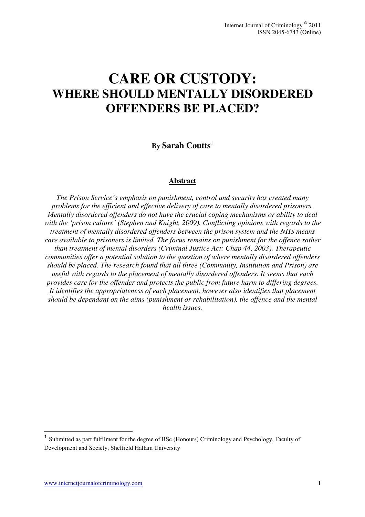# **CARE OR CUSTODY: WHERE SHOULD MENTALLY DISORDERED OFFENDERS BE PLACED?**

# **By Sarah Coutts**<sup>1</sup>

#### **Abstract**

*The Prison Service's emphasis on punishment, control and security has created many problems for the efficient and effective delivery of care to mentally disordered prisoners. Mentally disordered offenders do not have the crucial coping mechanisms or ability to deal with the 'prison culture' (Stephen and Knight, 2009). Conflicting opinions with regards to the treatment of mentally disordered offenders between the prison system and the NHS means care available to prisoners is limited. The focus remains on punishment for the offence rather than treatment of mental disorders (Criminal Justice Act: Chap 44, 2003). Therapeutic communities offer a potential solution to the question of where mentally disordered offenders should be placed. The research found that all three (Community, Institution and Prison) are useful with regards to the placement of mentally disordered offenders. It seems that each provides care for the offender and protects the public from future harm to differing degrees. It identifies the appropriateness of each placement, however also identifies that placement should be dependant on the aims (punishment or rehabilitation), the offence and the mental health issues.* 

 $\overline{a}$ 

<sup>&</sup>lt;sup>1</sup> Submitted as part fulfilment for the degree of BSc (Honours) Criminology and Psychology, Faculty of Development and Society, Sheffield Hallam University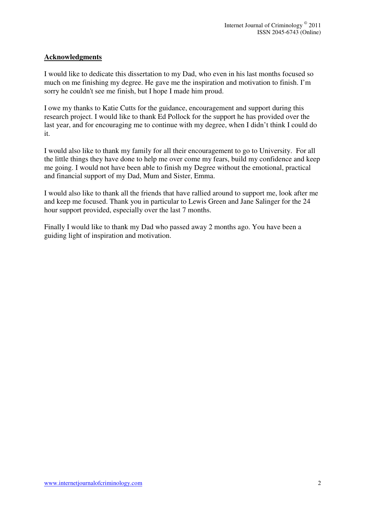## **Acknowledgments**

I would like to dedicate this dissertation to my Dad, who even in his last months focused so much on me finishing my degree. He gave me the inspiration and motivation to finish. I'm sorry he couldn't see me finish, but I hope I made him proud.

I owe my thanks to Katie Cutts for the guidance, encouragement and support during this research project. I would like to thank Ed Pollock for the support he has provided over the last year, and for encouraging me to continue with my degree, when I didn't think I could do it.

I would also like to thank my family for all their encouragement to go to University. For all the little things they have done to help me over come my fears, build my confidence and keep me going. I would not have been able to finish my Degree without the emotional, practical and financial support of my Dad, Mum and Sister, Emma.

I would also like to thank all the friends that have rallied around to support me, look after me and keep me focused. Thank you in particular to Lewis Green and Jane Salinger for the 24 hour support provided, especially over the last 7 months.

Finally I would like to thank my Dad who passed away 2 months ago. You have been a guiding light of inspiration and motivation.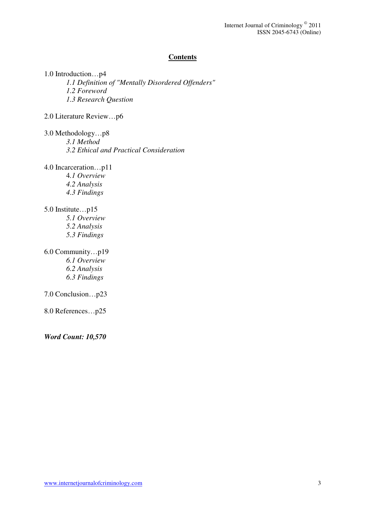#### **Contents**

1.0 Introduction…p4 *1.1 Definition of "Mentally Disordered Offenders" 1.2 Foreword 1.3 Research Question*  2.0 Literature Review…p6 3.0 Methodology…p8 *3.1 Method 3.2 Ethical and Practical Consideration* 4.0 Incarceration…p11 4*.1 Overview 4.2 Analysis 4.3 Findings* 5.0 Institute…p15 *5.1 Overview 5.2 Analysis 5.3 Findings*  6.0 Community…p19 *6.1 Overview 6.2 Analysis 6.3 Findings*  7.0 Conclusion…p23 8.0 References…p25 *Word Count: 10,570*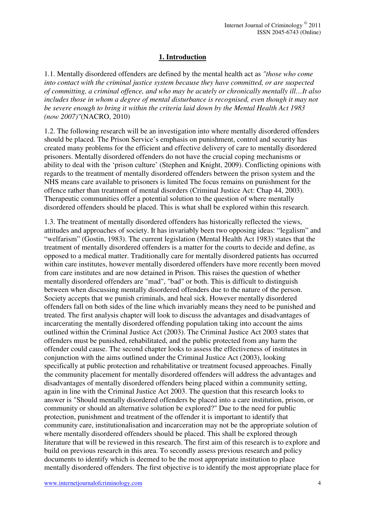# **1. Introduction**

1.1. Mentally disordered offenders are defined by the mental health act as *"those who come into contact with the criminal justice system because they have committed, or are suspected of committing, a criminal offence, and who may be acutely or chronically mentally ill…It also includes those in whom a degree of mental disturbance is recognised, even though it may not be severe enough to bring it within the criteria laid down by the Mental Health Act 1983 (now 2007)"*(NACRO, 2010)

1.2. The following research will be an investigation into where mentally disordered offenders should be placed. The Prison Service's emphasis on punishment, control and security has created many problems for the efficient and effective delivery of care to mentally disordered prisoners. Mentally disordered offenders do not have the crucial coping mechanisms or ability to deal with the 'prison culture' (Stephen and Knight, 2009). Conflicting opinions with regards to the treatment of mentally disordered offenders between the prison system and the NHS means care available to prisoners is limited The focus remains on punishment for the offence rather than treatment of mental disorders (Criminal Justice Act: Chap 44, 2003). Therapeutic communities offer a potential solution to the question of where mentally disordered offenders should be placed. This is what shall be explored within this research.

1.3. The treatment of mentally disordered offenders has historically reflected the views, attitudes and approaches of society. It has invariably been two opposing ideas: "legalism" and "welfarism" (Gostin, 1983). The current legislation (Mental Health Act 1983) states that the treatment of mentally disordered offenders is a matter for the courts to decide and define, as opposed to a medical matter. Traditionally care for mentally disordered patients has occurred within care institutes, however mentally disordered offenders have more recently been moved from care institutes and are now detained in Prison. This raises the question of whether mentally disordered offenders are "mad", "bad" or both. This is difficult to distinguish between when discussing mentally disordered offenders due to the nature of the person. Society accepts that we punish criminals, and heal sick. However mentally disordered offenders fall on both sides of the line which invariably means they need to be punished and treated. The first analysis chapter will look to discuss the advantages and disadvantages of incarcerating the mentally disordered offending population taking into account the aims outlined within the Criminal Justice Act (2003). The Criminal Justice Act 2003 states that offenders must be punished, rehabilitated, and the public protected from any harm the offender could cause. The second chapter looks to assess the effectiveness of institutes in conjunction with the aims outlined under the Criminal Justice Act (2003), looking specifically at public protection and rehabilitative or treatment focused approaches. Finally the community placement for mentally disordered offenders will address the advantages and disadvantages of mentally disordered offenders being placed within a community setting, again in line with the Criminal Justice Act 2003. The question that this research looks to answer is "Should mentally disordered offenders be placed into a care institution, prison, or community or should an alternative solution be explored?" Due to the need for public protection, punishment and treatment of the offender it is important to identify that community care, institutionalisation and incarceration may not be the appropriate solution of where mentally disordered offenders should be placed. This shall be explored through literature that will be reviewed in this research. The first aim of this research is to explore and build on previous research in this area. To secondly assess previous research and policy documents to identify which is deemed to be the most appropriate institution to place mentally disordered offenders. The first objective is to identify the most appropriate place for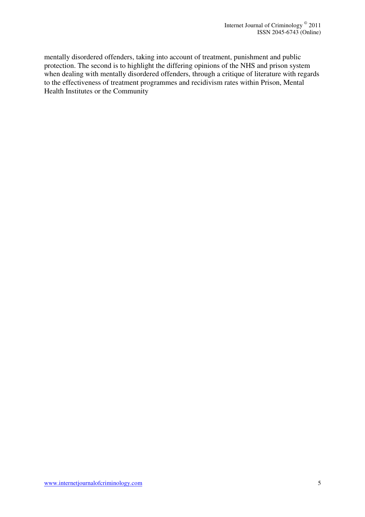mentally disordered offenders, taking into account of treatment, punishment and public protection. The second is to highlight the differing opinions of the NHS and prison system when dealing with mentally disordered offenders, through a critique of literature with regards to the effectiveness of treatment programmes and recidivism rates within Prison, Mental Health Institutes or the Community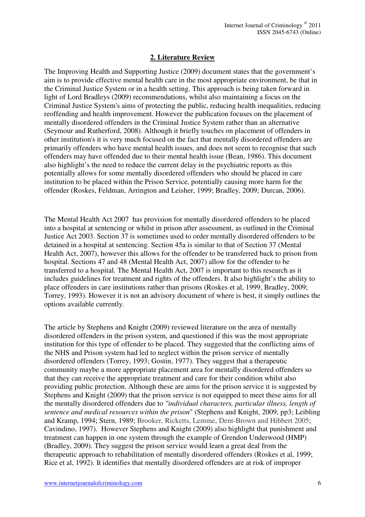# **2. Literature Review**

The Improving Health and Supporting Justice (2009) document states that the government's aim is to provide effective mental health care in the most appropriate environment, be that in the Criminal Justice System or in a health setting. This approach is being taken forward in light of Lord Bradleys (2009) recommendations, whilst also maintaining a focus on the Criminal Justice System's aims of protecting the public, reducing health inequalities, reducing reoffending and health improvement. However the publication focuses on the placement of mentally disordered offenders in the Criminal Justice System rather than an alternative (Seymour and Rutherford, 2008). Although it briefly touches on placement of offenders in other institution's it is very much focused on the fact that mentally disordered offenders are primarily offenders who have mental health issues, and does not seem to recognise that such offenders may have offended due to their mental health issue (Bean, 1986). This document also highlight's the need to reduce the current delay in the psychiatric reports as this potentially allows for some mentally disordered offenders who should be placed in care institution to be placed within the Prison Service, potentially causing more harm for the offender (Roskes, Feldman, Arrington and Leisher, 1999; Bradley, 2009; Durcan, 2006).

The Mental Health Act 2007 has provision for mentally disordered offenders to be placed into a hospital at sentencing or whilst in prison after assessment, as outlined in the Criminal Justice Act 2003. Section 37 is sometimes used to order mentally disordered offenders to be detained in a hospital at sentencing. Section 45a is similar to that of Section 37 (Mental Health Act, 2007), however this allows for the offender to be transferred back to prison from hospital. Sections 47 and 48 (Mental Health Act, 2007) allow for the offender to be transferred to a hospital. The Mental Health Act, 2007 is important to this research as it includes guidelines for treatment and rights of the offenders. It also highlight's the ability to place offenders in care institutions rather than prisons (Roskes et al, 1999, Bradley, 2009; Torrey, 1993). However it is not an advisory document of where is best, it simply outlines the options available currently.

The article by Stephens and Knight (2009) reviewed literature on the area of mentally disordered offenders in the prison system, and questioned if this was the most appropriate institution for this type of offender to be placed. They suggested that the conflicting aims of the NHS and Prison system had led to neglect within the prison service of mentally disordered offenders (Torrey, 1993; Gostin, 1977). They suggest that a therapeutic community maybe a more appropriate placement area for mentally disordered offenders so that they can receive the appropriate treatment and care for their condition whilst also providing public protection. Although these are aims for the prison service it is suggested by Stephens and Knight (2009) that the prison service is not equipped to meet these aims for all the mentally disordered offenders due to *"individual characters, particular illness, length of sentence and medical resources within the prison*" (Stephens and Knight, 2009, pp3; Leibling and Kramp, 1994; Stern, 1989; Brooker, Ricketts, Lemme, Dent-Brown and Hibbert 2005; Cavindino, 1997). However Stephens and Knight (2009) also highlight that punishment and treatment can happen in one system through the example of Grendon Underwood (HMP) (Bradley, 2009). They suggest the prison service would learn a great deal from the therapeutic approach to rehabilitation of mentally disordered offenders (Roskes et al, 1999; Rice et al, 1992). It identifies that mentally disordered offenders are at risk of improper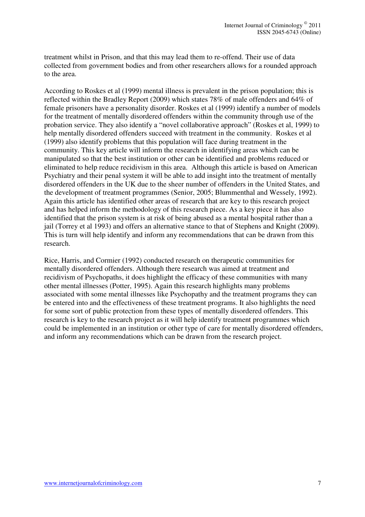treatment whilst in Prison, and that this may lead them to re-offend. Their use of data collected from government bodies and from other researchers allows for a rounded approach to the area.

According to Roskes et al (1999) mental illness is prevalent in the prison population; this is reflected within the Bradley Report (2009) which states 78% of male offenders and 64% of female prisoners have a personality disorder. Roskes et al (1999) identify a number of models for the treatment of mentally disordered offenders within the community through use of the probation service. They also identify a "novel collaborative approach" (Roskes et al, 1999) to help mentally disordered offenders succeed with treatment in the community. Roskes et al (1999) also identify problems that this population will face during treatment in the community. This key article will inform the research in identifying areas which can be manipulated so that the best institution or other can be identified and problems reduced or eliminated to help reduce recidivism in this area. Although this article is based on American Psychiatry and their penal system it will be able to add insight into the treatment of mentally disordered offenders in the UK due to the sheer number of offenders in the United States, and the development of treatment programmes (Senior, 2005; Blummenthal and Wessely, 1992). Again this article has identified other areas of research that are key to this research project and has helped inform the methodology of this research piece. As a key piece it has also identified that the prison system is at risk of being abused as a mental hospital rather than a jail (Torrey et al 1993) and offers an alternative stance to that of Stephens and Knight (2009). This is turn will help identify and inform any recommendations that can be drawn from this research.

Rice, Harris, and Cormier (1992) conducted research on therapeutic communities for mentally disordered offenders. Although there research was aimed at treatment and recidivism of Psychopaths, it does highlight the efficacy of these communities with many other mental illnesses (Potter, 1995). Again this research highlights many problems associated with some mental illnesses like Psychopathy and the treatment programs they can be entered into and the effectiveness of these treatment programs. It also highlights the need for some sort of public protection from these types of mentally disordered offenders. This research is key to the research project as it will help identify treatment programmes which could be implemented in an institution or other type of care for mentally disordered offenders, and inform any recommendations which can be drawn from the research project.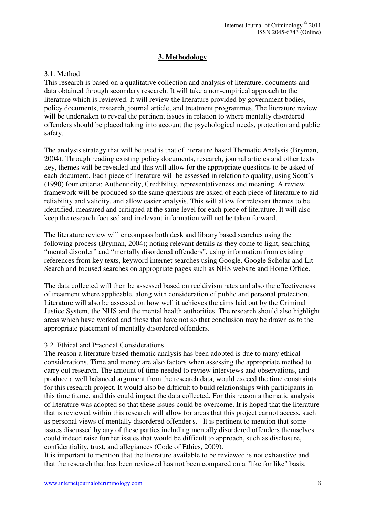## **3. Methodology**

#### 3.1. Method

This research is based on a qualitative collection and analysis of literature, documents and data obtained through secondary research. It will take a non-empirical approach to the literature which is reviewed. It will review the literature provided by government bodies, policy documents, research, journal article, and treatment programmes. The literature review will be undertaken to reveal the pertinent issues in relation to where mentally disordered offenders should be placed taking into account the psychological needs, protection and public safety.

The analysis strategy that will be used is that of literature based Thematic Analysis (Bryman, 2004). Through reading existing policy documents, research, journal articles and other texts key, themes will be revealed and this will allow for the appropriate questions to be asked of each document. Each piece of literature will be assessed in relation to quality, using Scott's (1990) four criteria: Authenticity, Credibility, representativeness and meaning. A review framework will be produced so the same questions are asked of each piece of literature to aid reliability and validity, and allow easier analysis. This will allow for relevant themes to be identified, measured and critiqued at the same level for each piece of literature. It will also keep the research focused and irrelevant information will not be taken forward.

The literature review will encompass both desk and library based searches using the following process (Bryman, 2004); noting relevant details as they come to light, searching "mental disorder" and "mentally disordered offenders", using information from existing references from key texts, keyword internet searches using Google, Google Scholar and Lit Search and focused searches on appropriate pages such as NHS website and Home Office.

The data collected will then be assessed based on recidivism rates and also the effectiveness of treatment where applicable, along with consideration of public and personal protection. Literature will also be assessed on how well it achieves the aims laid out by the Criminal Justice System, the NHS and the mental health authorities. The research should also highlight areas which have worked and those that have not so that conclusion may be drawn as to the appropriate placement of mentally disordered offenders.

#### 3.2. Ethical and Practical Considerations

The reason a literature based thematic analysis has been adopted is due to many ethical considerations. Time and money are also factors when assessing the appropriate method to carry out research. The amount of time needed to review interviews and observations, and produce a well balanced argument from the research data, would exceed the time constraints for this research project. It would also be difficult to build relationships with participants in this time frame, and this could impact the data collected. For this reason a thematic analysis of literature was adopted so that these issues could be overcome. It is hoped that the literature that is reviewed within this research will allow for areas that this project cannot access, such as personal views of mentally disordered offender's. It is pertinent to mention that some issues discussed by any of these parties including mentally disordered offenders themselves could indeed raise further issues that would be difficult to approach, such as disclosure, confidentiality, trust, and allegiances (Code of Ethics, 2009).

It is important to mention that the literature available to be reviewed is not exhaustive and that the research that has been reviewed has not been compared on a "like for like" basis.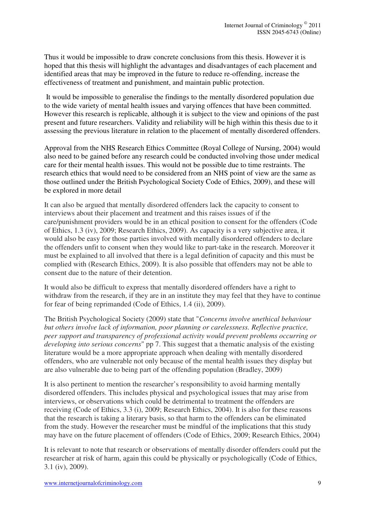Thus it would be impossible to draw concrete conclusions from this thesis. However it is hoped that this thesis will highlight the advantages and disadvantages of each placement and identified areas that may be improved in the future to reduce re-offending, increase the effectiveness of treatment and punishment, and maintain public protection.

 It would be impossible to generalise the findings to the mentally disordered population due to the wide variety of mental health issues and varying offences that have been committed. However this research is replicable, although it is subject to the view and opinions of the past present and future researchers. Validity and reliability will be high within this thesis due to it assessing the previous literature in relation to the placement of mentally disordered offenders.

Approval from the NHS Research Ethics Committee (Royal College of Nursing, 2004) would also need to be gained before any research could be conducted involving those under medical care for their mental health issues. This would not be possible due to time restraints. The research ethics that would need to be considered from an NHS point of view are the same as those outlined under the British Psychological Society Code of Ethics, 2009), and these will be explored in more detail

It can also be argued that mentally disordered offenders lack the capacity to consent to interviews about their placement and treatment and this raises issues of if the care/punishment providers would be in an ethical position to consent for the offenders (Code of Ethics, 1.3 (iv), 2009; Research Ethics, 2009). As capacity is a very subjective area, it would also be easy for those parties involved with mentally disordered offenders to declare the offenders unfit to consent when they would like to part-take in the research. Moreover it must be explained to all involved that there is a legal definition of capacity and this must be complied with (Research Ethics, 2009). It is also possible that offenders may not be able to consent due to the nature of their detention.

It would also be difficult to express that mentally disordered offenders have a right to withdraw from the research, if they are in an institute they may feel that they have to continue for fear of being reprimanded (Code of Ethics, 1.4 (ii), 2009).

The British Psychological Society (2009) state that "*Concerns involve unethical behaviour but others involve lack of information, poor planning or carelessness. Reflective practice, peer support and transparency of professional activity would prevent problems occurring or developing into serious concerns*" pp 7. This suggest that a thematic analysis of the existing literature would be a more appropriate approach when dealing with mentally disordered offenders, who are vulnerable not only because of the mental health issues they display but are also vulnerable due to being part of the offending population (Bradley, 2009)

It is also pertinent to mention the researcher's responsibility to avoid harming mentally disordered offenders. This includes physical and psychological issues that may arise from interviews, or observations which could be detrimental to treatment the offenders are receiving (Code of Ethics, 3.3 (i), 2009; Research Ethics, 2004). It is also for these reasons that the research is taking a literary basis, so that harm to the offenders can be eliminated from the study. However the researcher must be mindful of the implications that this study may have on the future placement of offenders (Code of Ethics, 2009; Research Ethics, 2004)

It is relevant to note that research or observations of mentally disorder offenders could put the researcher at risk of harm, again this could be physically or psychologically (Code of Ethics, 3.1 (iv), 2009).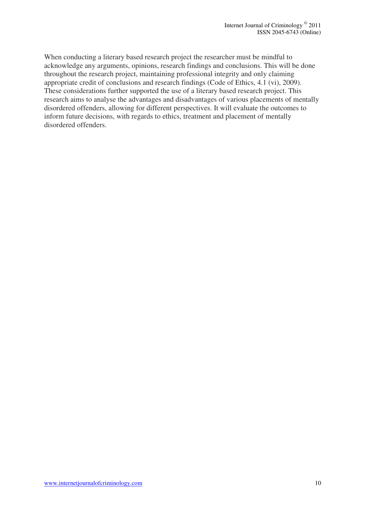When conducting a literary based research project the researcher must be mindful to acknowledge any arguments, opinions, research findings and conclusions. This will be done throughout the research project, maintaining professional integrity and only claiming appropriate credit of conclusions and research findings (Code of Ethics, 4.1 (vi), 2009). These considerations further supported the use of a literary based research project. This research aims to analyse the advantages and disadvantages of various placements of mentally disordered offenders, allowing for different perspectives. It will evaluate the outcomes to inform future decisions, with regards to ethics, treatment and placement of mentally disordered offenders.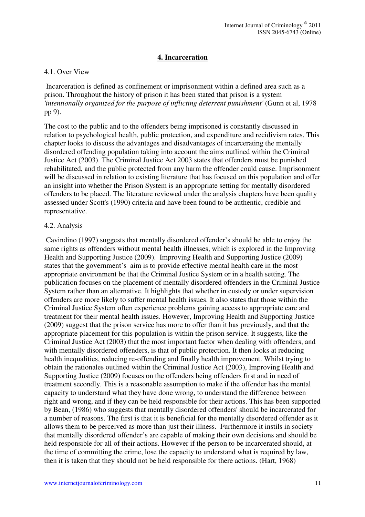## **4. Incarceration**

#### 4.1. Over View

 Incarceration is defined as confinement or imprisonment within a defined area such as a prison. Throughout the history of prison it has been stated that prison is a system *'intentionally organized for the purpose of inflicting deterrent punishment'* (Gunn et al, 1978 pp 9).

The cost to the public and to the offenders being imprisoned is constantly discussed in relation to psychological health, public protection, and expenditure and recidivism rates. This chapter looks to discuss the advantages and disadvantages of incarcerating the mentally disordered offending population taking into account the aims outlined within the Criminal Justice Act (2003). The Criminal Justice Act 2003 states that offenders must be punished rehabilitated, and the public protected from any harm the offender could cause. Imprisonment will be discussed in relation to existing literature that has focused on this population and offer an insight into whether the Prison System is an appropriate setting for mentally disordered offenders to be placed. The literature reviewed under the analysis chapters have been quality assessed under Scott's (1990) criteria and have been found to be authentic, credible and representative.

#### 4.2. Analysis

 Cavindino (1997) suggests that mentally disordered offender's should be able to enjoy the same rights as offenders without mental health illnesses, which is explored in the Improving Health and Supporting Justice (2009). Improving Health and Supporting Justice (2009) states that the government's aim is to provide effective mental health care in the most appropriate environment be that the Criminal Justice System or in a health setting. The publication focuses on the placement of mentally disordered offenders in the Criminal Justice System rather than an alternative. It highlights that whether in custody or under supervision offenders are more likely to suffer mental health issues. It also states that those within the Criminal Justice System often experience problems gaining access to appropriate care and treatment for their mental health issues. However, Improving Health and Supporting Justice (2009) suggest that the prison service has more to offer than it has previously, and that the appropriate placement for this population is within the prison service. It suggests, like the Criminal Justice Act (2003) that the most important factor when dealing with offenders, and with mentally disordered offenders, is that of public protection. It then looks at reducing health inequalities, reducing re-offending and finally health improvement. Whilst trying to obtain the rationales outlined within the Criminal Justice Act (2003), Improving Health and Supporting Justice (2009) focuses on the offenders being offenders first and in need of treatment secondly. This is a reasonable assumption to make if the offender has the mental capacity to understand what they have done wrong, to understand the difference between right and wrong, and if they can be held responsible for their actions. This has been supported by Bean, (1986) who suggests that mentally disordered offenders' should be incarcerated for a number of reasons. The first is that it is beneficial for the mentally disordered offender as it allows them to be perceived as more than just their illness. Furthermore it instils in society that mentally disordered offender's are capable of making their own decisions and should be held responsible for all of their actions. However if the person to be incarcerated should, at the time of committing the crime, lose the capacity to understand what is required by law, then it is taken that they should not be held responsible for there actions. (Hart, 1968)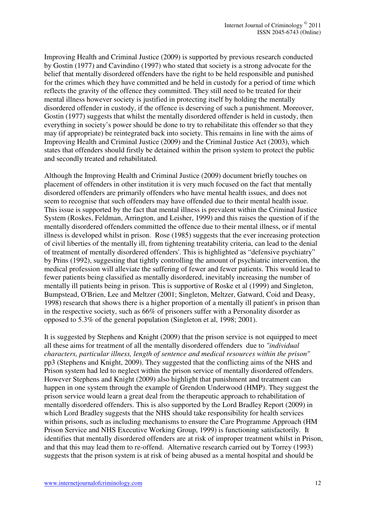Improving Health and Criminal Justice (2009) is supported by previous research conducted by Gostin (1977) and Cavindino (1997) who stated that society is a strong advocate for the belief that mentally disordered offenders have the right to be held responsible and punished for the crimes which they have committed and be held in custody for a period of time which reflects the gravity of the offence they committed. They still need to be treated for their mental illness however society is justified in protecting itself by holding the mentally disordered offender in custody, if the offence is deserving of such a punishment. Moreover, Gostin (1977) suggests that whilst the mentally disordered offender is held in custody, then everything in society's power should be done to try to rehabilitate this offender so that they may (if appropriate) be reintegrated back into society. This remains in line with the aims of Improving Health and Criminal Justice (2009) and the Criminal Justice Act (2003), which states that offenders should firstly be detained within the prison system to protect the public and secondly treated and rehabilitated.

Although the Improving Health and Criminal Justice (2009) document briefly touches on placement of offenders in other institution it is very much focused on the fact that mentally disordered offenders are primarily offenders who have mental health issues, and does not seem to recognise that such offenders may have offended due to their mental health issue. This issue is supported by the fact that mental illness is prevalent within the Criminal Justice System (Roskes, Feldman, Arrington, and Leisher, 1999) and this raises the question of if the mentally disordered offenders committed the offence due to their mental illness, or if mental illness is developed whilst in prison. Rose (1985) suggests that the ever increasing protection of civil liberties of the mentally ill, from tightening treatability criteria, can lead to the denial of treatment of mentally disordered offenders'. This is highlighted as "defensive psychiatry" by Prins (1992), suggesting that tightly controlling the amount of psychiatric intervention, the medical profession will alleviate the suffering of fewer and fewer patients. This would lead to fewer patients being classified as mentally disordered, inevitably increasing the number of mentally ill patients being in prison. This is supportive of Roske et al (1999) and Singleton, Bumpstead, O'Brien, Lee and Meltzer (2001; Singleton, Meltzer, Gatward, Coid and Deasy, 1998) research that shows there is a higher proportion of a mentally ill patient's in prison than in the respective society, such as 66% of prisoners suffer with a Personality disorder as opposed to 5.3% of the general population (Singleton et al, 1998; 2001).

It is suggested by Stephens and Knight (2009) that the prison service is not equipped to meet all these aims for treatment of all the mentally disordered offenders due to *"individual characters, particular illness, length of sentence and medical resources within the prison"* pp3 (Stephens and Knight, 2009). They suggested that the conflicting aims of the NHS and Prison system had led to neglect within the prison service of mentally disordered offenders. However Stephens and Knight (2009) also highlight that punishment and treatment can happen in one system through the example of Grendon Underwood (HMP). They suggest the prison service would learn a great deal from the therapeutic approach to rehabilitation of mentally disordered offenders. This is also supported by the Lord Bradley Report (2009) in which Lord Bradley suggests that the NHS should take responsibility for health services within prisons, such as including mechanisms to ensure the Care Programme Approach (HM Prison Service and NHS Executive Working Group, 1999) is functioning satisfactorily. It identifies that mentally disordered offenders are at risk of improper treatment whilst in Prison, and that this may lead them to re-offend. Alternative research carried out by Torrey (1993) suggests that the prison system is at risk of being abused as a mental hospital and should be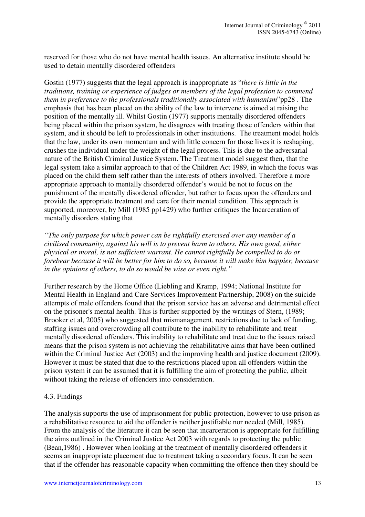reserved for those who do not have mental health issues. An alternative institute should be used to detain mentally disordered offenders

Gostin (1977) suggests that the legal approach is inappropriate as "*there is little in the traditions, training or experience of judges or members of the legal profession to commend them in preference to the professionals traditionally associated with humanism*"pp28 . The emphasis that has been placed on the ability of the law to intervene is aimed at raising the position of the mentally ill. Whilst Gostin (1977) supports mentally disordered offenders being placed within the prison system, he disagrees with treating those offenders within that system, and it should be left to professionals in other institutions. The treatment model holds that the law, under its own momentum and with little concern for those lives it is reshaping, crushes the individual under the weight of the legal process. This is due to the adversarial nature of the British Criminal Justice System. The Treatment model suggest then, that the legal system take a similar approach to that of the Children Act 1989, in which the focus was placed on the child them self rather than the interests of others involved. Therefore a more appropriate approach to mentally disordered offender's would be not to focus on the punishment of the mentally disordered offender, but rather to focus upon the offenders and provide the appropriate treatment and care for their mental condition. This approach is supported, moreover, by Mill (1985 pp1429) who further critiques the Incarceration of mentally disorders stating that

*"The only purpose for which power can be rightfully exercised over any member of a civilised community, against his will is to prevent harm to others. His own good, either physical or moral, is not sufficient warrant. He cannot rightfully be compelled to do or forebear because it will be better for him to do so, because it will make him happier, because in the opinions of others, to do so would be wise or even right."* 

Further research by the Home Office (Liebling and Kramp, 1994; National Institute for Mental Health in England and Care Services Improvement Partnership, 2008) on the suicide attempts of male offenders found that the prison service has an adverse and detrimental effect on the prisoner's mental health. This is further supported by the writings of Stern, (1989; Brooker et al, 2005) who suggested that mismanagement, restrictions due to lack of funding, staffing issues and overcrowding all contribute to the inability to rehabilitate and treat mentally disordered offenders. This inability to rehabilitate and treat due to the issues raised means that the prison system is not achieving the rehabilitative aims that have been outlined within the Criminal Justice Act (2003) and the improving health and justice document (2009). However it must be stated that due to the restrictions placed upon all offenders within the prison system it can be assumed that it is fulfilling the aim of protecting the public, albeit without taking the release of offenders into consideration.

#### 4.3. Findings

The analysis supports the use of imprisonment for public protection, however to use prison as a rehabilitative resource to aid the offender is neither justifiable nor needed (Mill, 1985). From the analysis of the literature it can be seen that incarceration is appropriate for fulfilling the aims outlined in the Criminal Justice Act 2003 with regards to protecting the public (Bean,1986) . However when looking at the treatment of mentally disordered offenders it seems an inappropriate placement due to treatment taking a secondary focus. It can be seen that if the offender has reasonable capacity when committing the offence then they should be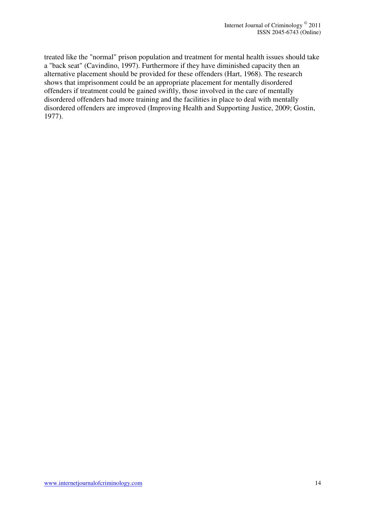treated like the "normal" prison population and treatment for mental health issues should take a "back seat" (Cavindino, 1997). Furthermore if they have diminished capacity then an alternative placement should be provided for these offenders (Hart, 1968). The research shows that imprisonment could be an appropriate placement for mentally disordered offenders if treatment could be gained swiftly, those involved in the care of mentally disordered offenders had more training and the facilities in place to deal with mentally disordered offenders are improved (Improving Health and Supporting Justice, 2009; Gostin, 1977).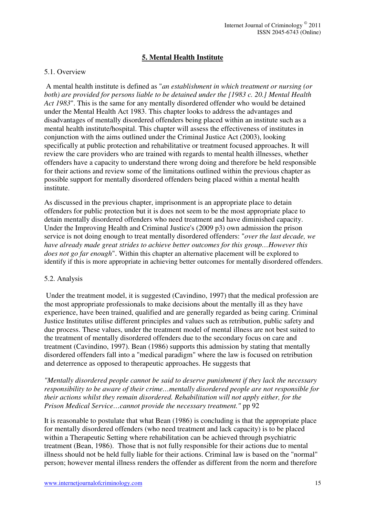# **5. Mental Health Institute**

#### 5.1. Overview

 A mental health institute is defined as "*an establishment in which treatment or nursing (or both) are provided for persons liable to be detained under the [1983 c. 20.] Mental Health Act 1983*". This is the same for any mentally disordered offender who would be detained under the Mental Health Act 1983. This chapter looks to address the advantages and disadvantages of mentally disordered offenders being placed within an institute such as a mental health institute/hospital. This chapter will assess the effectiveness of institutes in conjunction with the aims outlined under the Criminal Justice Act (2003), looking specifically at public protection and rehabilitative or treatment focused approaches. It will review the care providers who are trained with regards to mental health illnesses, whether offenders have a capacity to understand there wrong doing and therefore be held responsible for their actions and review some of the limitations outlined within the previous chapter as possible support for mentally disordered offenders being placed within a mental health institute.

As discussed in the previous chapter, imprisonment is an appropriate place to detain offenders for public protection but it is does not seem to be the most appropriate place to detain mentally disordered offenders who need treatment and have diminished capacity. Under the Improving Health and Criminal Justice's (2009 p3) own admission the prison service is not doing enough to treat mentally disordered offenders: "*over the last decade, we have already made great strides to achieve better outcomes for this group…However this does not go far enough*". Within this chapter an alternative placement will be explored to identify if this is more appropriate in achieving better outcomes for mentally disordered offenders.

#### 5.2. Analysis

 Under the treatment model, it is suggested (Cavindino, 1997) that the medical profession are the most appropriate professionals to make decisions about the mentally ill as they have experience, have been trained, qualified and are generally regarded as being caring. Criminal Justice Institutes utilise different principles and values such as retribution, public safety and due process. These values, under the treatment model of mental illness are not best suited to the treatment of mentally disordered offenders due to the secondary focus on care and treatment (Cavindino, 1997). Bean (1986) supports this admission by stating that mentally disordered offenders fall into a "medical paradigm" where the law is focused on retribution and deterrence as opposed to therapeutic approaches. He suggests that

## *"Mentally disordered people cannot be said to deserve punishment if they lack the necessary responsibility to be aware of their crime…mentally disordered people are not responsible for their actions whilst they remain disordered. Rehabilitation will not apply either, for the Prison Medical Service…cannot provide the necessary treatment."* pp 92

It is reasonable to postulate that what Bean (1986) is concluding is that the appropriate place for mentally disordered offenders (who need treatment and lack capacity) is to be placed within a Therapeutic Setting where rehabilitation can be achieved through psychiatric treatment (Bean, 1986). Those that is not fully responsible for their actions due to mental illness should not be held fully liable for their actions. Criminal law is based on the "normal" person; however mental illness renders the offender as different from the norm and therefore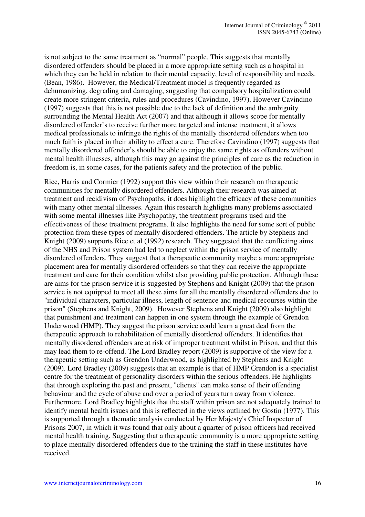is not subject to the same treatment as "normal" people. This suggests that mentally disordered offenders should be placed in a more appropriate setting such as a hospital in which they can be held in relation to their mental capacity, level of responsibility and needs. (Bean, 1986). However, the Medical/Treatment model is frequently regarded as dehumanizing, degrading and damaging, suggesting that compulsory hospitalization could create more stringent criteria, rules and procedures (Cavindino, 1997). However Cavindino (1997) suggests that this is not possible due to the lack of definition and the ambiguity surrounding the Mental Health Act (2007) and that although it allows scope for mentally disordered offender's to receive further more targeted and intense treatment, it allows medical professionals to infringe the rights of the mentally disordered offenders when too much faith is placed in their ability to effect a cure. Therefore Cavindino (1997) suggests that mentally disordered offender's should be able to enjoy the same rights as offenders without mental health illnesses, although this may go against the principles of care as the reduction in freedom is, in some cases, for the patients safety and the protection of the public.

Rice, Harris and Cormier (1992) support this view within their research on therapeutic communities for mentally disordered offenders. Although their research was aimed at treatment and recidivism of Psychopaths, it does highlight the efficacy of these communities with many other mental illnesses. Again this research highlights many problems associated with some mental illnesses like Psychopathy, the treatment programs used and the effectiveness of these treatment programs. It also highlights the need for some sort of public protection from these types of mentally disordered offenders. The article by Stephens and Knight (2009) supports Rice et al (1992) research. They suggested that the conflicting aims of the NHS and Prison system had led to neglect within the prison service of mentally disordered offenders. They suggest that a therapeutic community maybe a more appropriate placement area for mentally disordered offenders so that they can receive the appropriate treatment and care for their condition whilst also providing public protection. Although these are aims for the prison service it is suggested by Stephens and Knight (2009) that the prison service is not equipped to meet all these aims for all the mentally disordered offenders due to "individual characters, particular illness, length of sentence and medical recourses within the prison" (Stephens and Knight, 2009). However Stephens and Knight (2009) also highlight that punishment and treatment can happen in one system through the example of Grendon Underwood (HMP). They suggest the prison service could learn a great deal from the therapeutic approach to rehabilitation of mentally disordered offenders. It identifies that mentally disordered offenders are at risk of improper treatment whilst in Prison, and that this may lead them to re-offend. The Lord Bradley report (2009) is supportive of the view for a therapeutic setting such as Grendon Underwood, as highlighted by Stephens and Knight (2009). Lord Bradley (2009) suggests that an example is that of HMP Grendon is a specialist centre for the treatment of personality disorders within the serious offenders. He highlights that through exploring the past and present, "clients" can make sense of their offending behaviour and the cycle of abuse and over a period of years turn away from violence. Furthermore, Lord Bradley highlights that the staff within prison are not adequately trained to identify mental health issues and this is reflected in the views outlined by Gostin (1977). This is supported through a thematic analysis conducted by Her Majesty's Chief Inspector of Prisons 2007, in which it was found that only about a quarter of prison officers had received mental health training. Suggesting that a therapeutic community is a more appropriate setting to place mentally disordered offenders due to the training the staff in these institutes have received.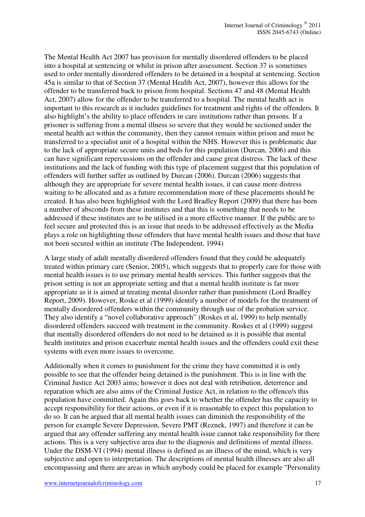The Mental Health Act 2007 has provision for mentally disordered offenders to be placed into a hospital at sentencing or whilst in prison after assessment. Section 37 is sometimes used to order mentally disordered offenders to be detained in a hospital at sentencing. Section 45a is similar to that of Section 37 (Mental Health Act, 2007), however this allows for the offender to be transferred back to prison from hospital. Sections 47 and 48 (Mental Health Act, 2007) allow for the offender to be transferred to a hospital. The mental health act is important to this research as it includes guidelines for treatment and rights of the offenders. It also highlight's the ability to place offenders in care institutions rather than prisons. If a prisoner is suffering from a mental illness so severe that they would be sectioned under the mental health act within the community, then they cannot remain within prison and must be transferred to a specialist unit of a hospital within the NHS. However this is problematic due to the lack of appropriate secure units and beds for this population (Durcan, 2006) and this can have significant repercussions on the offender and cause great distress. The lack of these institutions and the lack of funding with this type of placement suggest that this population of offenders will further suffer as outlined by Durcan (2006). Durcan (2006) suggests that although they are appropriate for severe mental health issues, it can cause more distress waiting to be allocated and as a future recommendation more of these placements should be created. It has also been highlighted with the Lord Bradley Report (2009) that there has been a number of absconds from these institutes and that this is something that needs to be addressed if these institutes are to be utilised in a more effective manner. If the public are to feel secure and protected this is an issue that needs to be addressed effectively as the Media plays a role on highlighting those offenders that have mental health issues and those that have not been secured within an institute (The Independent, 1994)

A large study of adult mentally disordered offenders found that they could be adequately treated within primary care (Senior, 2005), which suggests that to properly care for those with mental health issues is to use primary mental health services. This further suggests that the prison setting is not an appropriate setting and that a mental health institute is far more appropriate as it is aimed at treating mental disorder rather than punishment (Lord Bradley Report, 2009). However, Roske et al (1999) identify a number of models for the treatment of mentally disordered offenders within the community through use of the probation service. They also identify a "novel collaborative approach" (Roskes et al, 1999) to help mentally disordered offenders succeed with treatment in the community. Roskes et al (1999) suggest that mentally disordered offenders do not need to be detained as it is possible that mental health institutes and prison exacerbate mental health issues and the offenders could exit these systems with even more issues to overcome.

Additionally when it comes to punishment for the crime they have committed it is only possible to see that the offender being detained is the punishment. This is in line with the Criminal Justice Act 2003 aims; however it does not deal with retribution, deterrence and reparation which are also aims of the Criminal Justice Act, in relation to the offence/s this population have committed. Again this goes back to whether the offender has the capacity to accept responsibility for their actions, or even if it is reasonable to expect this population to do so. It can be argued that all mental health issues can diminish the responsibility of the person for example Severe Depression, Severe PMT (Reznek, 1997) and therefore it can be argued that any offender suffering any mental health issue cannot take responsibility for there actions. This is a very subjective area due to the diagnosis and definitions of mental illness. Under the DSM-VI (1994) mental illness is defined as an illness of the mind, which is very subjective and open to interpretation. The descriptions of mental health illnesses are also all encompassing and there are areas in which anybody could be placed for example "Personality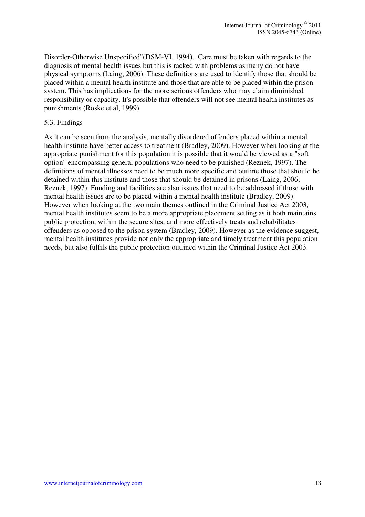Disorder-Otherwise Unspecified"(DSM-VI, 1994). Care must be taken with regards to the diagnosis of mental health issues but this is racked with problems as many do not have physical symptoms (Laing, 2006). These definitions are used to identify those that should be placed within a mental health institute and those that are able to be placed within the prison system. This has implications for the more serious offenders who may claim diminished responsibility or capacity. It's possible that offenders will not see mental health institutes as punishments (Roske et al, 1999).

## 5.3. Findings

As it can be seen from the analysis, mentally disordered offenders placed within a mental health institute have better access to treatment (Bradley, 2009). However when looking at the appropriate punishment for this population it is possible that it would be viewed as a "soft option" encompassing general populations who need to be punished (Reznek, 1997). The definitions of mental illnesses need to be much more specific and outline those that should be detained within this institute and those that should be detained in prisons (Laing, 2006; Reznek, 1997). Funding and facilities are also issues that need to be addressed if those with mental health issues are to be placed within a mental health institute (Bradley, 2009). However when looking at the two main themes outlined in the Criminal Justice Act 2003, mental health institutes seem to be a more appropriate placement setting as it both maintains public protection, within the secure sites, and more effectively treats and rehabilitates offenders as opposed to the prison system (Bradley, 2009). However as the evidence suggest, mental health institutes provide not only the appropriate and timely treatment this population needs, but also fulfils the public protection outlined within the Criminal Justice Act 2003.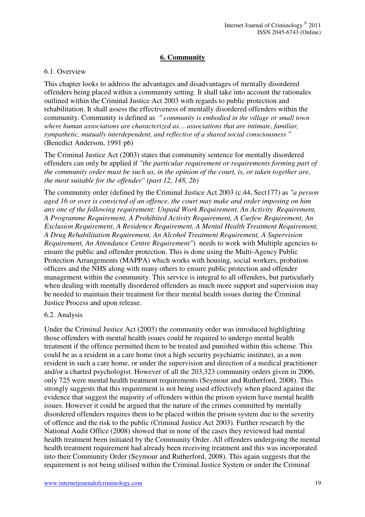# **6. Community**

## 6.1. Overview

This chapter looks to address the advantages and disadvantages of mentally disordered offenders being placed within a community setting. It shall take into account the rationales outlined within the Criminal Justice Act 2003 with regards to public protection and rehabilitation. It shall assess the effectiveness of mentally disordered offenders within the community. Community is defined as *" community is embodied in the village or small town where human associations are characterized as… associations that are intimate, familiar, sympathetic, mutually interdependent, and reflective of a shared social consciousness "* (Benedict Anderson, 1991 p6)

The Criminal Justice Act (2003) states that community sentence for mentally disordered offenders can only be applied if *"the particular requirement or requirements forming part of the community order must be such as, in the opinion of the court, is, or taken together are, the most suitable for the offender" (part 12, 148, 2b)*

The community order (defined by the Criminal Justice Act 2003 (c.44, Sect177) as *"a person aged 16 or over is convicted of an offence, the court may make and order imposing on him any one of the following requirement: Unpaid Work Requirement, An Activity Requirement, A Programme Requirement, A Prohibited Activity Requirement, A Curfew Requirement, An Exclusion Requirement, A Residence Requirement, A Mental Health Treatment Requirement, A Drug Rehabilitation Requirement, An Alcohol Treatment Requirement, A Supervision Requirement, An Attendance Centre Requirement"*) needs to work with Multiple agencies to ensure the public and offender protection. This is done using the Multi-Agency Public Protection Arrangements (MAPPA) which works with housing, social workers, probation officers and the NHS along with many others to ensure public protection and offender management within the community. This service is integral to all offenders, but particularly when dealing with mentally disordered offenders as much more support and supervision may be needed to maintain their treatment for their mental health issues during the Criminal Justice Process and upon release.

#### 6.2. Analysis

Under the Criminal Justice Act (2003) the community order was introduced highlighting those offenders with mental health issues could be required to undergo mental health treatment if the offence permitted them to be treated and punished within this scheme. This could be as a resident in a care home (not a high security psychiatric institute), as a non resident in such a care home, or under the supervision and direction of a medical practitioner and/or a charted psychologist. However of all the 203,323 community orders given in 2006, only 725 were mental health treatment requirements (Seymour and Rutherford, 2008). This strongly suggests that this requirement is not being used effectively when placed against the evidence that suggest the majority of offenders within the prison system have mental health issues. However it could be argued that the nature of the crimes committed by mentally disordered offenders requires them to be placed within the prison system due to the severity of offence and the risk to the public (Criminal Justice Act 2003). Further research by the National Audit Office (2008) showed that in none of the cases they reviewed had mental health treatment been initiated by the Community Order. All offenders undergoing the mental health treatment requirement had already been receiving treatment and this was incorporated into their Community Order (Seymour and Rutherford, 2008). This again suggests that the requirement is not being utilised within the Criminal Justice System or under the Criminal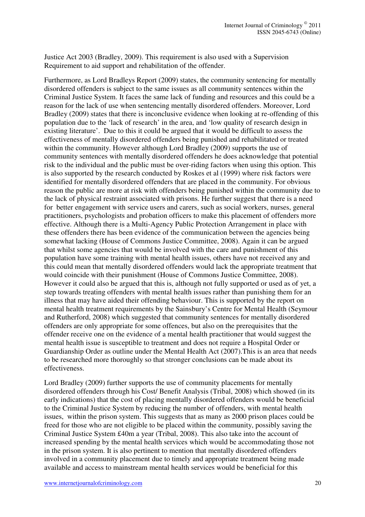Justice Act 2003 (Bradley, 2009). This requirement is also used with a Supervision Requirement to aid support and rehabilitation of the offender.

Furthermore, as Lord Bradleys Report (2009) states, the community sentencing for mentally disordered offenders is subject to the same issues as all community sentences within the Criminal Justice System. It faces the same lack of funding and resources and this could be a reason for the lack of use when sentencing mentally disordered offenders. Moreover, Lord Bradley (2009) states that there is inconclusive evidence when looking at re-offending of this population due to the 'lack of research' in the area, and 'low quality of research design in existing literature'. Due to this it could be argued that it would be difficult to assess the effectiveness of mentally disordered offenders being punished and rehabilitated or treated within the community. However although Lord Bradley (2009) supports the use of community sentences with mentally disordered offenders he does acknowledge that potential risk to the individual and the public must be over-riding factors when using this option. This is also supported by the research conducted by Roskes et al (1999) where risk factors were identified for mentally disordered offenders that are placed in the community. For obvious reason the public are more at risk with offenders being punished within the community due to the lack of physical restraint associated with prisons. He further suggest that there is a need for better engagement with service users and carers, such as social workers, nurses, general practitioners, psychologists and probation officers to make this placement of offenders more effective. Although there is a Multi-Agency Public Protection Arrangement in place with these offenders there has been evidence of the communication between the agencies being somewhat lacking (House of Commons Justice Committee, 2008). Again it can be argued that whilst some agencies that would be involved with the care and punishment of this population have some training with mental health issues, others have not received any and this could mean that mentally disordered offenders would lack the appropriate treatment that would coincide with their punishment (House of Commons Justice Committee, 2008). However it could also be argued that this is, although not fully supported or used as of yet, a step towards treating offenders with mental health issues rather than punishing them for an illness that may have aided their offending behaviour. This is supported by the report on mental health treatment requirements by the Sainsbury's Centre for Mental Health (Seymour and Rutherford, 2008) which suggested that community sentences for mentally disordered offenders are only appropriate for some offences, but also on the prerequisites that the offender receive one on the evidence of a mental health practitioner that would suggest the mental health issue is susceptible to treatment and does not require a Hospital Order or Guardianship Order as outline under the Mental Health Act (2007).This is an area that needs to be researched more thoroughly so that stronger conclusions can be made about its effectiveness.

Lord Bradley (2009) further supports the use of community placements for mentally disordered offenders through his Cost/ Benefit Analysis (Tribal, 2008) which showed (in its early indications) that the cost of placing mentally disordered offenders would be beneficial to the Criminal Justice System by reducing the number of offenders, with mental health issues, within the prison system. This suggests that as many as 2000 prison places could be freed for those who are not eligible to be placed within the community, possibly saving the Criminal Justice System £40m a year (Tribal, 2008). This also take into the account of increased spending by the mental health services which would be accommodating those not in the prison system. It is also pertinent to mention that mentally disordered offenders involved in a community placement due to timely and appropriate treatment being made available and access to mainstream mental health services would be beneficial for this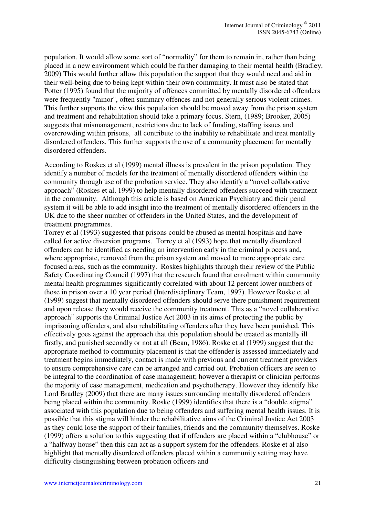population. It would allow some sort of "normality" for them to remain in, rather than being placed in a new environment which could be further damaging to their mental health (Bradley, 2009) This would further allow this population the support that they would need and aid in their well-being due to being kept within their own community. It must also be stated that Potter (1995) found that the majority of offences committed by mentally disordered offenders were frequently "minor", often summary offences and not generally serious violent crimes. This further supports the view this population should be moved away from the prison system and treatment and rehabilitation should take a primary focus. Stern, (1989; Brooker, 2005) suggests that mismanagement, restrictions due to lack of funding, staffing issues and overcrowding within prisons, all contribute to the inability to rehabilitate and treat mentally disordered offenders. This further supports the use of a community placement for mentally disordered offenders.

According to Roskes et al (1999) mental illness is prevalent in the prison population. They identify a number of models for the treatment of mentally disordered offenders within the community through use of the probation service. They also identify a "novel collaborative approach" (Roskes et al, 1999) to help mentally disordered offenders succeed with treatment in the community. Although this article is based on American Psychiatry and their penal system it will be able to add insight into the treatment of mentally disordered offenders in the UK due to the sheer number of offenders in the United States, and the development of treatment programmes.

Torrey et al (1993) suggested that prisons could be abused as mental hospitals and have called for active diversion programs. Torrey et al (1993) hope that mentally disordered offenders can be identified as needing an intervention early in the criminal process and, where appropriate, removed from the prison system and moved to more appropriate care focused areas, such as the community. Roskes highlights through their review of the Public Safety Coordinating Council (1997) that the research found that enrolment within community mental health programmes significantly correlated with about 12 percent lower numbers of those in prison over a 10 year period (Interdisciplinary Team, 1997). However Roske et al (1999) suggest that mentally disordered offenders should serve there punishment requirement and upon release they would receive the community treatment. This as a "novel collaborative approach" supports the Criminal Justice Act 2003 in its aims of protecting the public by imprisoning offenders, and also rehabilitating offenders after they have been punished. This effectively goes against the approach that this population should be treated as mentally ill firstly, and punished secondly or not at all (Bean, 1986). Roske et al (1999) suggest that the appropriate method to community placement is that the offender is assessed immediately and treatment begins immediately, contact is made with previous and current treatment providers to ensure comprehensive care can be arranged and carried out. Probation officers are seen to be integral to the coordination of case management; however a therapist or clinician performs the majority of case management, medication and psychotherapy. However they identify like Lord Bradley (2009) that there are many issues surrounding mentally disordered offenders being placed within the community. Roske (1999) identifies that there is a "double stigma" associated with this population due to being offenders and suffering mental health issues. It is possible that this stigma will hinder the rehabilitative aims of the Criminal Justice Act 2003 as they could lose the support of their families, friends and the community themselves. Roske (1999) offers a solution to this suggesting that if offenders are placed within a "clubhouse" or a "halfway house" then this can act as a support system for the offenders. Roske et al also highlight that mentally disordered offenders placed within a community setting may have difficulty distinguishing between probation officers and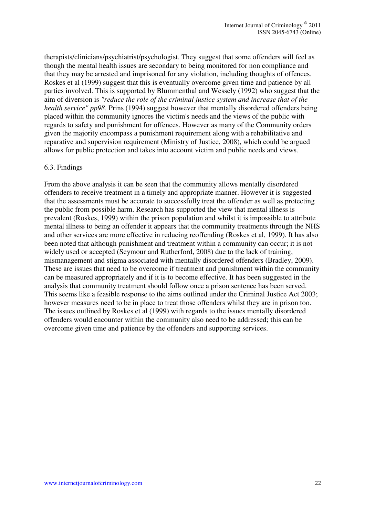therapists/clinicians/psychiatrist/psychologist. They suggest that some offenders will feel as though the mental health issues are secondary to being monitored for non compliance and that they may be arrested and imprisoned for any violation, including thoughts of offences. Roskes et al (1999) suggest that this is eventually overcome given time and patience by all parties involved. This is supported by Blummenthal and Wessely (1992) who suggest that the aim of diversion is *"reduce the role of the criminal justice system and increase that of the health service" pp98*. Prins (1994) suggest however that mentally disordered offenders being placed within the community ignores the victim's needs and the views of the public with regards to safety and punishment for offences. However as many of the Community orders given the majority encompass a punishment requirement along with a rehabilitative and reparative and supervision requirement (Ministry of Justice, 2008), which could be argued allows for public protection and takes into account victim and public needs and views.

## 6.3. Findings

From the above analysis it can be seen that the community allows mentally disordered offenders to receive treatment in a timely and appropriate manner. However it is suggested that the assessments must be accurate to successfully treat the offender as well as protecting the public from possible harm. Research has supported the view that mental illness is prevalent (Roskes, 1999) within the prison population and whilst it is impossible to attribute mental illness to being an offender it appears that the community treatments through the NHS and other services are more effective in reducing reoffending (Roskes et al, 1999). It has also been noted that although punishment and treatment within a community can occur; it is not widely used or accepted (Seymour and Rutherford, 2008) due to the lack of training, mismanagement and stigma associated with mentally disordered offenders (Bradley, 2009). These are issues that need to be overcome if treatment and punishment within the community can be measured appropriately and if it is to become effective. It has been suggested in the analysis that community treatment should follow once a prison sentence has been served. This seems like a feasible response to the aims outlined under the Criminal Justice Act 2003; however measures need to be in place to treat those offenders whilst they are in prison too. The issues outlined by Roskes et al (1999) with regards to the issues mentally disordered offenders would encounter within the community also need to be addressed; this can be overcome given time and patience by the offenders and supporting services.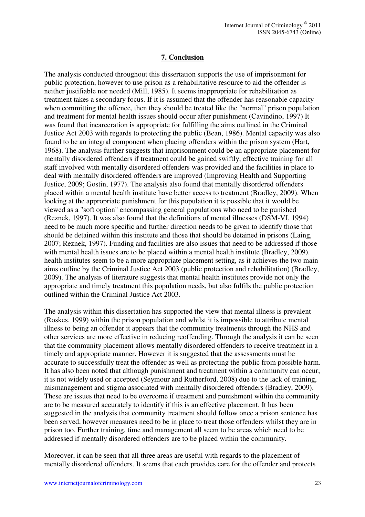## **7. Conclusion**

The analysis conducted throughout this dissertation supports the use of imprisonment for public protection, however to use prison as a rehabilitative resource to aid the offender is neither justifiable nor needed (Mill, 1985). It seems inappropriate for rehabilitation as treatment takes a secondary focus. If it is assumed that the offender has reasonable capacity when committing the offence, then they should be treated like the "normal" prison population and treatment for mental health issues should occur after punishment (Cavindino, 1997) It was found that incarceration is appropriate for fulfilling the aims outlined in the Criminal Justice Act 2003 with regards to protecting the public (Bean, 1986). Mental capacity was also found to be an integral component when placing offenders within the prison system (Hart, 1968). The analysis further suggests that imprisonment could be an appropriate placement for mentally disordered offenders if treatment could be gained swiftly, effective training for all staff involved with mentally disordered offenders was provided and the facilities in place to deal with mentally disordered offenders are improved (Improving Health and Supporting Justice, 2009; Gostin, 1977). The analysis also found that mentally disordered offenders placed within a mental health institute have better access to treatment (Bradley, 2009). When looking at the appropriate punishment for this population it is possible that it would be viewed as a "soft option" encompassing general populations who need to be punished (Reznek, 1997). It was also found that the definitions of mental illnesses (DSM-VI, 1994) need to be much more specific and further direction needs to be given to identify those that should be detained within this institute and those that should be detained in prisons (Laing, 2007; Reznek, 1997). Funding and facilities are also issues that need to be addressed if those with mental health issues are to be placed within a mental health institute (Bradley, 2009). health institutes seem to be a more appropriate placement setting, as it achieves the two main aims outline by the Criminal Justice Act 2003 (public protection and rehabilitation) (Bradley, 2009). The analysis of literature suggests that mental health institutes provide not only the appropriate and timely treatment this population needs, but also fulfils the public protection outlined within the Criminal Justice Act 2003.

The analysis within this dissertation has supported the view that mental illness is prevalent (Roskes, 1999) within the prison population and whilst it is impossible to attribute mental illness to being an offender it appears that the community treatments through the NHS and other services are more effective in reducing reoffending. Through the analysis it can be seen that the community placement allows mentally disordered offenders to receive treatment in a timely and appropriate manner. However it is suggested that the assessments must be accurate to successfully treat the offender as well as protecting the public from possible harm. It has also been noted that although punishment and treatment within a community can occur; it is not widely used or accepted (Seymour and Rutherford, 2008) due to the lack of training, mismanagement and stigma associated with mentally disordered offenders (Bradley, 2009). These are issues that need to be overcome if treatment and punishment within the community are to be measured accurately to identify if this is an effective placement. It has been suggested in the analysis that community treatment should follow once a prison sentence has been served, however measures need to be in place to treat those offenders whilst they are in prison too. Further training, time and management all seem to be areas which need to be addressed if mentally disordered offenders are to be placed within the community.

Moreover, it can be seen that all three areas are useful with regards to the placement of mentally disordered offenders. It seems that each provides care for the offender and protects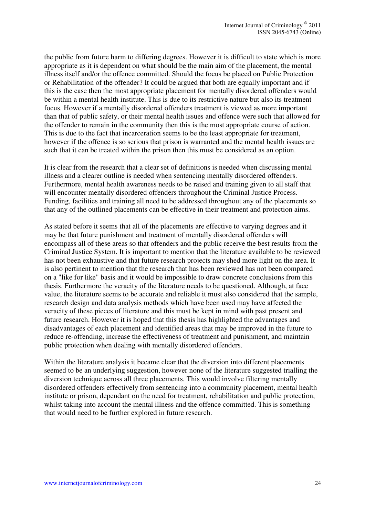the public from future harm to differing degrees. However it is difficult to state which is more appropriate as it is dependent on what should be the main aim of the placement, the mental illness itself and/or the offence committed. Should the focus be placed on Public Protection or Rehabilitation of the offender? It could be argued that both are equally important and if this is the case then the most appropriate placement for mentally disordered offenders would be within a mental health institute. This is due to its restrictive nature but also its treatment focus. However if a mentally disordered offenders treatment is viewed as more important than that of public safety, or their mental health issues and offence were such that allowed for the offender to remain in the community then this is the most appropriate course of action. This is due to the fact that incarceration seems to be the least appropriate for treatment, however if the offence is so serious that prison is warranted and the mental health issues are such that it can be treated within the prison then this must be considered as an option.

It is clear from the research that a clear set of definitions is needed when discussing mental illness and a clearer outline is needed when sentencing mentally disordered offenders. Furthermore, mental health awareness needs to be raised and training given to all staff that will encounter mentally disordered offenders throughout the Criminal Justice Process. Funding, facilities and training all need to be addressed throughout any of the placements so that any of the outlined placements can be effective in their treatment and protection aims.

As stated before it seems that all of the placements are effective to varying degrees and it may be that future punishment and treatment of mentally disordered offenders will encompass all of these areas so that offenders and the public receive the best results from the Criminal Justice System. It is important to mention that the literature available to be reviewed has not been exhaustive and that future research projects may shed more light on the area. It is also pertinent to mention that the research that has been reviewed has not been compared on a "like for like" basis and it would be impossible to draw concrete conclusions from this thesis. Furthermore the veracity of the literature needs to be questioned. Although, at face value, the literature seems to be accurate and reliable it must also considered that the sample, research design and data analysis methods which have been used may have affected the veracity of these pieces of literature and this must be kept in mind with past present and future research. However it is hoped that this thesis has highlighted the advantages and disadvantages of each placement and identified areas that may be improved in the future to reduce re-offending, increase the effectiveness of treatment and punishment, and maintain public protection when dealing with mentally disordered offenders.

Within the literature analysis it became clear that the diversion into different placements seemed to be an underlying suggestion, however none of the literature suggested trialling the diversion technique across all three placements. This would involve filtering mentally disordered offenders effectively from sentencing into a community placement, mental health institute or prison, dependant on the need for treatment, rehabilitation and public protection, whilst taking into account the mental illness and the offence committed. This is something that would need to be further explored in future research.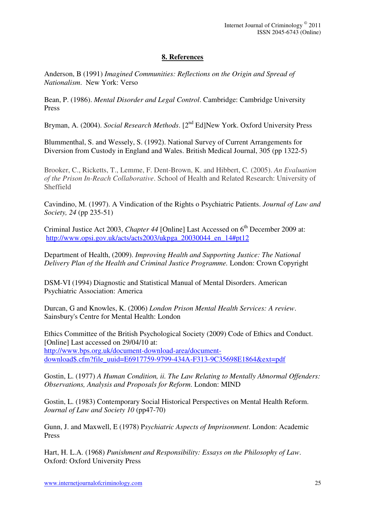## **8. References**

Anderson, B (1991) *Imagined Communities: Reflections on the Origin and Spread of Nationalism*. New York: Verso

Bean, P. (1986). *Mental Disorder and Legal Control*. Cambridge: Cambridge University Press

Bryman, A. (2004). *Social Research Methods*. [2nd Ed]New York. Oxford University Press

Blummenthal, S. and Wessely, S. (1992). National Survey of Current Arrangements for Diversion from Custody in England and Wales. British Medical Journal, 305 (pp 1322-5)

Brooker, C., Ricketts, T., Lemme, F. Dent-Brown, K. and Hibbert, C*.* (2005). *An Evaluation of the Prison In-Reach Collaborative*. School of Health and Related Research: University of Sheffield

Cavindino, M. (1997). A Vindication of the Rights o Psychiatric Patients. *Journal of Law and Society, 24* (pp 235-51)

Criminal Justice Act 2003, *Chapter 44* [Online] Last Accessed on 6<sup>th</sup> December 2009 at: http://www.opsi.gov.uk/acts/acts2003/ukpga\_20030044\_en\_14#pt12

Department of Health, (2009). *Improving Health and Supporting Justice: The National Delivery Plan of the Health and Criminal Justice Programme.* London: Crown Copyright

DSM-VI (1994) Diagnostic and Statistical Manual of Mental Disorders. American Psychiatric Association: America

Durcan, G and Knowles, K. (2006) *London Prison Mental Health Services: A review*. Sainsbury's Centre for Mental Health: London

Ethics Committee of the British Psychological Society (2009) Code of Ethics and Conduct. [Online] Last accessed on 29/04/10 at: http://www.bps.org.uk/document-download-area/documentdownload\$.cfm?file\_uuid=E6917759-9799-434A-F313-9C35698E1864&ext=pdf

Gostin, L. (1977) *A Human Condition, ii. The Law Relating to Mentally Abnormal Offenders: Observations, Analysis and Proposals for Reform*. London: MIND

Gostin, L. (1983) Contemporary Social Historical Perspectives on Mental Health Reform. *Journal of Law and Society 10* (pp47-70)

Gunn, J. and Maxwell, E (1978) P*sychiatric Aspects of Imprisonment*. London: Academic Press

Hart, H. L.A. (1968) *Punishment and Responsibility: Essays on the Philosophy of Law*. Oxford: Oxford University Press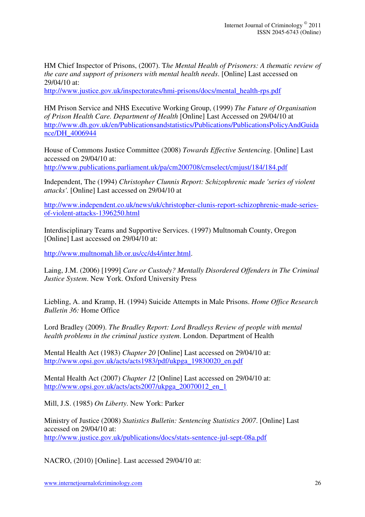HM Chief Inspector of Prisons, (2007). T*he Mental Health of Prisoners: A thematic review of the care and support of prisoners with mental health needs*. [Online] Last accessed on 29/04/10 at:

http://www.justice.gov.uk/inspectorates/hmi-prisons/docs/mental\_health-rps.pdf

HM Prison Service and NHS Executive Working Group, (1999) *The Future of Organisation of Prison Health Care. Department of Health* [Online] Last Accessed on 29/04/10 at http://www.dh.gov.uk/en/Publicationsandstatistics/Publications/PublicationsPolicyAndGuida nce/DH\_4006944

House of Commons Justice Committee (2008) *Towards Effective Sentencing*. [Online] Last accessed on 29/04/10 at:

http://www.publications.parliament.uk/pa/cm200708/cmselect/cmjust/184/184.pdf

Independent, The (1994) *Christopher Clunnis Report: Schizophrenic made 'series of violent attacks'*. [Online] Last accessed on 29/04/10 at

http://www.independent.co.uk/news/uk/christopher-clunis-report-schizophrenic-made-seriesof-violent-attacks-1396250.html

Interdisciplinary Teams and Supportive Services. (1997) Multnomah County, Oregon [Online] Last accessed on 29/04/10 at:

http://www.multnomah.lib.or.us/cc/ds4/inter.html.

Laing, J.M. (2006) [1999] *Care or Custody? Mentally Disordered Offenders in The Criminal Justice System*. New York. Oxford University Press

Liebling, A. and Kramp, H. (1994) Suicide Attempts in Male Prisons. *Home Office Research Bulletin 36:* Home Office

Lord Bradley (2009). *The Bradley Report: Lord Bradleys Review of people with mental health problems in the criminal justice system*. London. Department of Health

Mental Health Act (1983) *Chapter 20* [Online] Last accessed on 29/04/10 at: http://www.opsi.gov.uk/acts/acts1983/pdf/ukpga\_19830020\_en.pdf

Mental Health Act (2007) *Chapter 12* [Online] Last accessed on 29/04/10 at: http://www.opsi.gov.uk/acts/acts2007/ukpga\_20070012\_en\_1

Mill, J.S. (1985) *On Liberty*. New York: Parker

Ministry of Justice (2008) *Statistics Bulletin: Sentencing Statistics 2007*. [Online] Last accessed on 29/04/10 at: http://www.justice.gov.uk/publications/docs/stats-sentence-jul-sept-08a.pdf

NACRO, (2010) [Online]. Last accessed 29/04/10 at: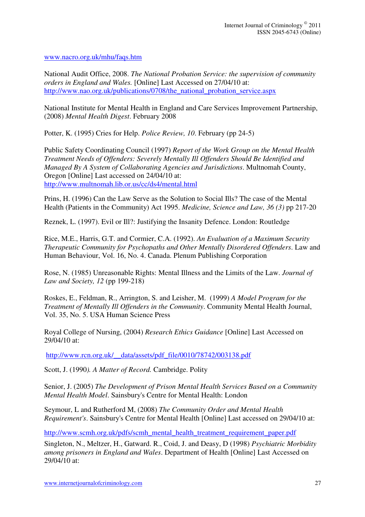www.nacro.org.uk/mhu/faqs.htm

National Audit Office, 2008. *The National Probation Service: the supervision of community orders in England and Wales.* [Online] Last Accessed on 27/04/10 at: http://www.nao.org.uk/publications/0708/the national probation service.aspx

National Institute for Mental Health in England and Care Services Improvement Partnership, (2008) *Mental Health Digest*. February 2008

Potter, K. (1995) Cries for Help. *Police Review, 10*. February (pp 24-5)

Public Safety Coordinating Council (1997) *Report of the Work Group on the Mental Health Treatment Needs of Offenders: Severely Mentally Ill Offenders Should Be Identified and Managed By A System of Collaborating Agencies and Jurisdictions*. Multnomah County, Oregon [Online] Last accessed on 24/04/10 at: http://www.multnomah.lib.or.us/cc/ds4/mental.html

Prins, H. (1996) Can the Law Serve as the Solution to Social Ills? The case of the Mental Health (Patients in the Community) Act 1995. *Medicine, Science and Law, 36 (3)* pp 217-20

Reznek, L. (1997). Evil or Ill?: Justifying the Insanity Defence. London: Routledge

Rice, M.E., Harris, G.T. and Cormier, C.A. (1992). *An Evaluation of a Maximum Security Therapeutic Community for Psychopaths and Other Mentally Disordered Offenders*. Law and Human Behaviour, Vol. 16, No. 4. Canada. Plenum Publishing Corporation

Rose, N. (1985) Unreasonable Rights: Mental Illness and the Limits of the Law. *Journal of Law and Society, 12* (pp 199-218)

Roskes, E., Feldman, R., Arrington, S. and Leisher, M. (1999) *A Model Program for the Treatment of Mentally Ill Offenders in the Community*. Community Mental Health Journal, Vol. 35, No. 5. USA Human Science Press

Royal College of Nursing, (2004) *Research Ethics Guidance* [Online] Last Accessed on 29/04/10 at:

http://www.rcn.org.uk/\_\_data/assets/pdf\_file/0010/78742/003138.pdf

Scott, J. (1990*). A Matter of Record.* Cambridge. Polity

Senior, J. (2005) *The Development of Prison Mental Health Services Based on a Community Mental Health Model*. Sainsbury's Centre for Mental Health: London

Seymour, L and Rutherford M, (2008) *The Community Order and Mental Health Requirement's*. Sainsbury's Centre for Mental Health [Online] Last accessed on 29/04/10 at:

http://www.scmh.org.uk/pdfs/scmh\_mental\_health\_treatment\_requirement\_paper.pdf

Singleton, N., Meltzer, H., Gatward. R., Coid, J. and Deasy, D (1998) *Psychiatric Morbidity among prisoners in England and Wales*. Department of Health [Online] Last Accessed on 29/04/10 at: